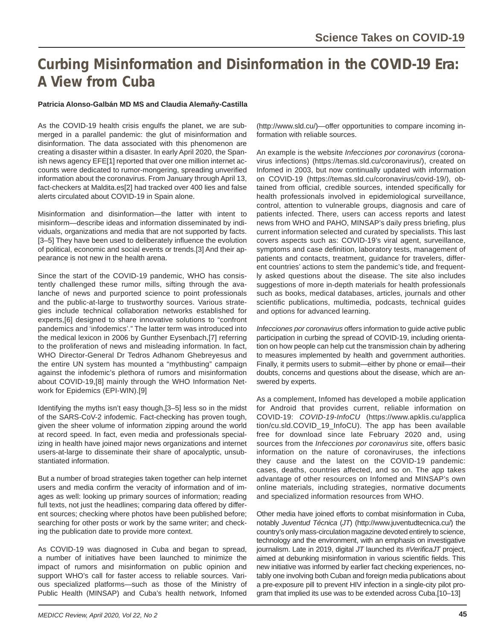## **Curbing Misinformation and Disinformation in the COVID-19 Era: A View from Cuba**

## **Patricia Alonso-Galbán MD MS and Claudia Alemañy-Castilla**

As the COVID-19 health crisis engulfs the planet, we are submerged in a parallel pandemic: the glut of misinformation and disinformation. The data associated with this phenomenon are creating a disaster within a disaster. In early April 2020, the Spanish news agency EFE[1] reported that over one million internet accounts were dedicated to rumor-mongering, spreading unverified information about the coronavirus. From January through April 13, fact-checkers at Maldita.es[2] had tracked over 400 lies and false alerts circulated about COVID-19 in Spain alone.

Misinformation and disinformation—the latter with intent to misinform—describe ideas and information disseminated by individuals, organizations and media that are not supported by facts. [3-5] They have been used to deliberately influence the evolution of political, economic and social events or trends.[3] And their appearance is not new in the health arena.

Since the start of the COVID-19 pandemic, WHO has consistently challenged these rumor mills, sifting through the avalanche of news and purported science to point professionals and the public-at-large to trustworthy sources. Various strategies include technical collaboration networks established for experts,[6] designed to share innovative solutions to "confront pandemics and 'infodemics'." The latter term was introduced into the medical lexicon in 2006 by Gunther Eysenbach,[7] referring to the proliferation of news and misleading information. In fact, WHO Director-General Dr Tedros Adhanom Ghebreyesus and the entire UN system has mounted a "mythbusting" campaign against the infodemic's plethora of rumors and misinformation about COVID-19,[8] mainly through the WHO Information Network for Epidemics (EPI-WIN).[9]

Identifying the myths isn't easy though,[3–5] less so in the midst of the SARS-CoV-2 infodemic. Fact-checking has proven tough, given the sheer volume of information zipping around the world at record speed. In fact, even media and professionals specializing in health have joined major news organizations and internet users-at-large to disseminate their share of apocalyptic, unsubstantiated information.

But a number of broad strategies taken together can help internet users and media confirm the veracity of information and of images as well: looking up primary sources of information; reading full texts, not just the headlines; comparing data offered by different sources; checking where photos have been published before; searching for other posts or work by the same writer; and checking the publication date to provide more context.

As COVID-19 was diagnosed in Cuba and began to spread, a number of initiatives have been launched to minimize the impact of rumors and misinformation on public opinion and support WHO's call for faster access to reliable sources. Various specialized platforms—such as those of the Ministry of Public Health (MINSAP) and Cuba's health network, Infomed

(http://www.sld.cu/)—offer opportunities to compare incoming information with reliable sources.

An example is the website *Infecciones por coronavirus* (coronavirus infections) (https://temas.sld.cu/coronavirus/), created on Infomed in 2003, but now continually updated with information on COVID-19 (https://temas.sld.cu/coronavirus/covid-19/), obtained from official, credible sources, intended specifically for health professionals involved in epidemiological surveillance, control, attention to vulnerable groups, diagnosis and care of patients infected. There, users can access reports and latest news from WHO and PAHO, MINSAP's daily press briefing, plus current information selected and curated by specialists. This last covers aspects such as: COVID-19's viral agent, surveillance, symptoms and case definition, laboratory tests, management of patients and contacts, treatment, guidance for travelers, different countries' actions to stem the pandemic's tide, and frequently asked questions about the disease. The site also includes suggestions of more in-depth materials for health professionals such as books, medical databases, articles, journals and other scientific publications, multimedia, podcasts, technical guides and options for advanced learning.

*Infecciones por coronavirus* offers information to guide active public participation in curbing the spread of COVID-19, including orientation on how people can help cut the transmission chain by adhering to measures implemented by health and government authorities. Finally, it permits users to submit—either by phone or email—their doubts, concerns and questions about the disease, which are answered by experts.

As a complement, Infomed has developed a mobile application for Android that provides current, reliable information on COVID-19: *COVID-19-InfoCU* (https://www.apklis.cu/applica tion/cu.sld.COVID\_19\_InfoCU). The app has been available free for download since late February 2020 and, using sources from the *Infecciones por coronavirus* site, offers basic information on the nature of coronaviruses, the infections they cause and the latest on the COVID-19 pandemic: cases, deaths, countries affected, and so on. The app takes advantage of other resources on Infomed and MINSAP's own online materials, including strategies, normative documents and specialized information resources from WHO.

Other media have joined efforts to combat misinformation in Cuba, notably *Juventud Técnica* (*JT*) (http://www.juventudtecnica.cu/) the country's only mass-circulation magazine devoted entirely to science, technology and the environment, with an emphasis on investigative journalism. Late in 2019, digital JT launched its #VerificaJT project, aimed at debunking misinformation in various scientific fields. This new initiative was informed by earlier fact checking experiences, notably one involving both Cuban and foreign media publications about a pre-exposure pill to prevent HIV infection in a single-city pilot program that implied its use was to be extended across Cuba.[10–13]